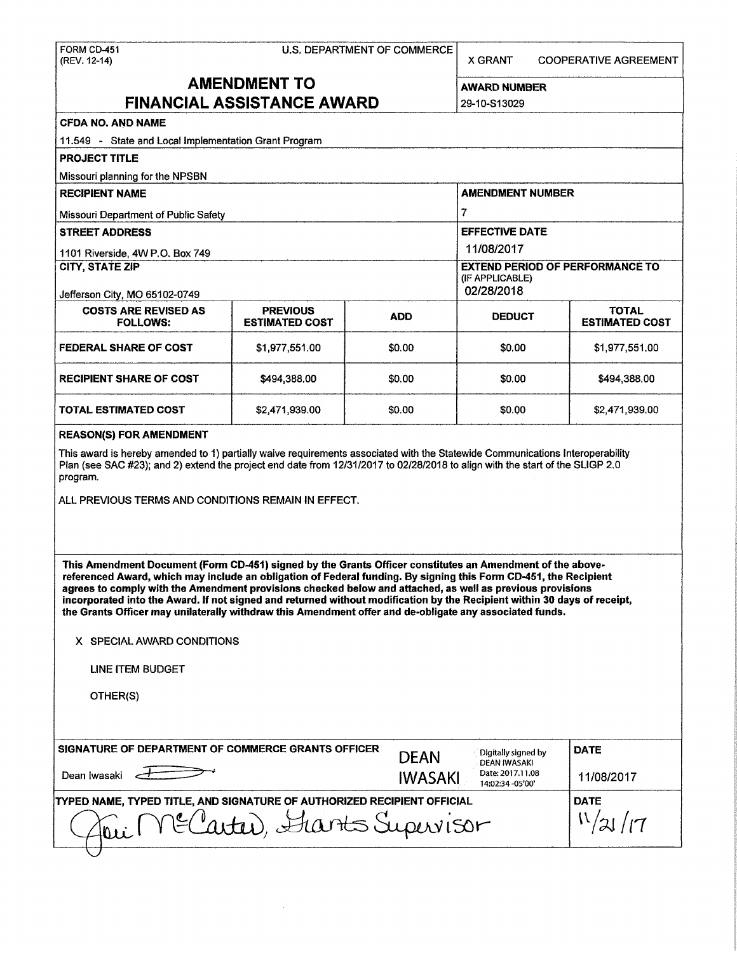| FORM CD-451<br>(REV. 12-14)                                                                                                                                                                                                                                                                                                                                                                                                                                                                                                                                                       | U.S. DEPARTMENT OF COMMERCE       | <b>X GRANT</b>                                                          | <b>COOPERATIVE AGREEMENT</b>                         |                       |  |  |  |
|-----------------------------------------------------------------------------------------------------------------------------------------------------------------------------------------------------------------------------------------------------------------------------------------------------------------------------------------------------------------------------------------------------------------------------------------------------------------------------------------------------------------------------------------------------------------------------------|-----------------------------------|-------------------------------------------------------------------------|------------------------------------------------------|-----------------------|--|--|--|
| <b>AMENDMENT TO</b>                                                                                                                                                                                                                                                                                                                                                                                                                                                                                                                                                               |                                   |                                                                         |                                                      |                       |  |  |  |
|                                                                                                                                                                                                                                                                                                                                                                                                                                                                                                                                                                                   | <b>FINANCIAL ASSISTANCE AWARD</b> |                                                                         | AWARD NUMBER                                         |                       |  |  |  |
|                                                                                                                                                                                                                                                                                                                                                                                                                                                                                                                                                                                   | 29-10-S13029                      |                                                                         |                                                      |                       |  |  |  |
| <b>CFDA NO. AND NAME</b>                                                                                                                                                                                                                                                                                                                                                                                                                                                                                                                                                          |                                   |                                                                         |                                                      |                       |  |  |  |
| 11.549 - State and Local Implementation Grant Program                                                                                                                                                                                                                                                                                                                                                                                                                                                                                                                             |                                   |                                                                         |                                                      |                       |  |  |  |
| <b>PROJECT TITLE</b>                                                                                                                                                                                                                                                                                                                                                                                                                                                                                                                                                              |                                   |                                                                         |                                                      |                       |  |  |  |
| Missouri planning for the NPSBN                                                                                                                                                                                                                                                                                                                                                                                                                                                                                                                                                   |                                   |                                                                         |                                                      |                       |  |  |  |
| <b>RECIPIENT NAME</b>                                                                                                                                                                                                                                                                                                                                                                                                                                                                                                                                                             |                                   |                                                                         | <b>AMENDMENT NUMBER</b>                              |                       |  |  |  |
| Missouri Department of Public Safety                                                                                                                                                                                                                                                                                                                                                                                                                                                                                                                                              |                                   |                                                                         | 7                                                    |                       |  |  |  |
| <b>STREET ADDRESS</b>                                                                                                                                                                                                                                                                                                                                                                                                                                                                                                                                                             |                                   |                                                                         | <b>EFFECTIVE DATE</b>                                |                       |  |  |  |
| 1101 Riverside, 4W P.O. Box 749                                                                                                                                                                                                                                                                                                                                                                                                                                                                                                                                                   |                                   |                                                                         | 11/08/2017                                           |                       |  |  |  |
| <b>CITY, STATE ZIP</b><br>Jefferson City, MO 65102-0749                                                                                                                                                                                                                                                                                                                                                                                                                                                                                                                           |                                   | <b>EXTEND PERIOD OF PERFORMANCE TO</b><br>(IF APPLICABLE)<br>02/28/2018 |                                                      |                       |  |  |  |
| <b>COSTS ARE REVISED AS</b>                                                                                                                                                                                                                                                                                                                                                                                                                                                                                                                                                       | <b>PREVIOUS</b>                   |                                                                         |                                                      | <b>TOTAL</b>          |  |  |  |
| <b>FOLLOWS:</b>                                                                                                                                                                                                                                                                                                                                                                                                                                                                                                                                                                   | <b>ESTIMATED COST</b>             | <b>ADD</b>                                                              | <b>DEDUCT</b>                                        | <b>ESTIMATED COST</b> |  |  |  |
| <b>FEDERAL SHARE OF COST</b>                                                                                                                                                                                                                                                                                                                                                                                                                                                                                                                                                      | \$1,977,551.00                    | \$0.00                                                                  | \$0.00                                               | \$1,977,551,00        |  |  |  |
| <b>RECIPIENT SHARE OF COST</b>                                                                                                                                                                                                                                                                                                                                                                                                                                                                                                                                                    | \$494,388,00                      | \$0.00                                                                  | \$0.00                                               | \$494,388.00          |  |  |  |
| <b>TOTAL ESTIMATED COST</b>                                                                                                                                                                                                                                                                                                                                                                                                                                                                                                                                                       | \$2,471,939.00                    | \$0.00                                                                  | \$0.00                                               | \$2,471,939.00        |  |  |  |
| Plan (see SAC #23); and 2) extend the project end date from 12/31/2017 to 02/28/2018 to align with the start of the SLIGP 2.0<br>program.<br>ALL PREVIOUS TERMS AND CONDITIONS REMAIN IN EFFECT.                                                                                                                                                                                                                                                                                                                                                                                  |                                   |                                                                         |                                                      |                       |  |  |  |
| This Amendment Document (Form CD-451) signed by the Grants Officer constitutes an Amendment of the above-<br>referenced Award, which may include an obligation of Federal funding. By signing this Form CD-451, the Recipient<br>agrees to comply with the Amendment provisions checked below and attached, as well as previous provisions<br>incorporated into the Award. If not signed and returned without modification by the Recipient within 30 days of receipt,<br>the Grants Officer may unilaterally withdraw this Amendment offer and de-obligate any associated funds. |                                   |                                                                         |                                                      |                       |  |  |  |
| X SPECIAL AWARD CONDITIONS                                                                                                                                                                                                                                                                                                                                                                                                                                                                                                                                                        |                                   |                                                                         |                                                      |                       |  |  |  |
| LINE ITEM BUDGET                                                                                                                                                                                                                                                                                                                                                                                                                                                                                                                                                                  |                                   |                                                                         |                                                      |                       |  |  |  |
| OTHER(S)                                                                                                                                                                                                                                                                                                                                                                                                                                                                                                                                                                          |                                   |                                                                         |                                                      |                       |  |  |  |
| SIGNATURE OF DEPARTMENT OF COMMERCE GRANTS OFFICER                                                                                                                                                                                                                                                                                                                                                                                                                                                                                                                                |                                   | <b>DEAN</b>                                                             | Digitally signed by                                  | <b>DATE</b>           |  |  |  |
| Dean Iwasaki<br><b>IWASAKI</b>                                                                                                                                                                                                                                                                                                                                                                                                                                                                                                                                                    |                                   |                                                                         | DEAN IWASAKI<br>Date: 2017.11.08<br>14:02:34 -05'00' | 11/08/2017            |  |  |  |
| TYPED NAME, TYPED TITLE, AND SIGNATURE OF AUTHORIZED RECIPIENT OFFICIAL                                                                                                                                                                                                                                                                                                                                                                                                                                                                                                           | <b>DATE</b>                       |                                                                         |                                                      |                       |  |  |  |
| Carter), Harts Supervisor                                                                                                                                                                                                                                                                                                                                                                                                                                                                                                                                                         | N/21/17                           |                                                                         |                                                      |                       |  |  |  |
|                                                                                                                                                                                                                                                                                                                                                                                                                                                                                                                                                                                   |                                   |                                                                         |                                                      |                       |  |  |  |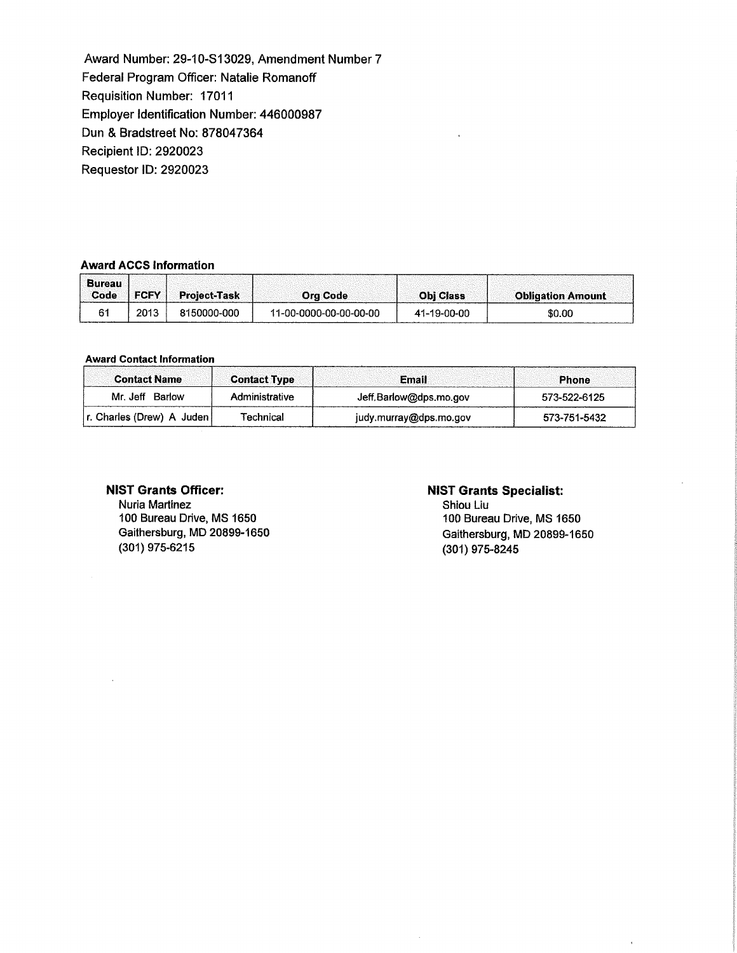Award Number: 29-10-S13029, Amendment Number 7 Federal Program Officer: Natalie Romanoff Requisition Number: 17011 Employer Identification Number: 446000987 Dun & Bradstreet No: 878047364 Recipient ID: 2920023 Requestor ID: 2920023

#### **Award ACCS Information**

| <b>Bureau</b><br>Code | <b>FCFY</b> | <b>Project-Task</b> | <b>Ora Code</b>        | <b>Obi Class</b> | <b>Obligation Amount</b> |
|-----------------------|-------------|---------------------|------------------------|------------------|--------------------------|
|                       | 2013        | 8150000-000         | 11-00-0000-00-00-00-00 | 41-19-00-00      | \$0.00                   |

#### **Award Contact lnfonnation**

| <b>Contact Name</b>       | <b>Contact Type</b> | <b>Email</b>           | <b>Phone</b> |
|---------------------------|---------------------|------------------------|--------------|
| Mr. Jeff Barlow           | Administrative      | Jeff.Barlow@dps.mo.gov | 573-522-6125 |
| r. Charles (Drew) A Juden | Technical           | judy.murray@dps.mo.gov | 573-751-5432 |

## **NIST Grants Officer:**

Nuria Martinez 100 Bureau Drive, MS 1650 Gaithersburg, MD 20899-1650 (301) 975-6215

## **NIST Grants Specialist:**

 $\bar{z}$ 

Shiou Liu 100 Bureau Drive, MS 1650 Gaithersburg, MD 20899-1650 (301) 975-8245

 $\overline{\mathbf{r}}$